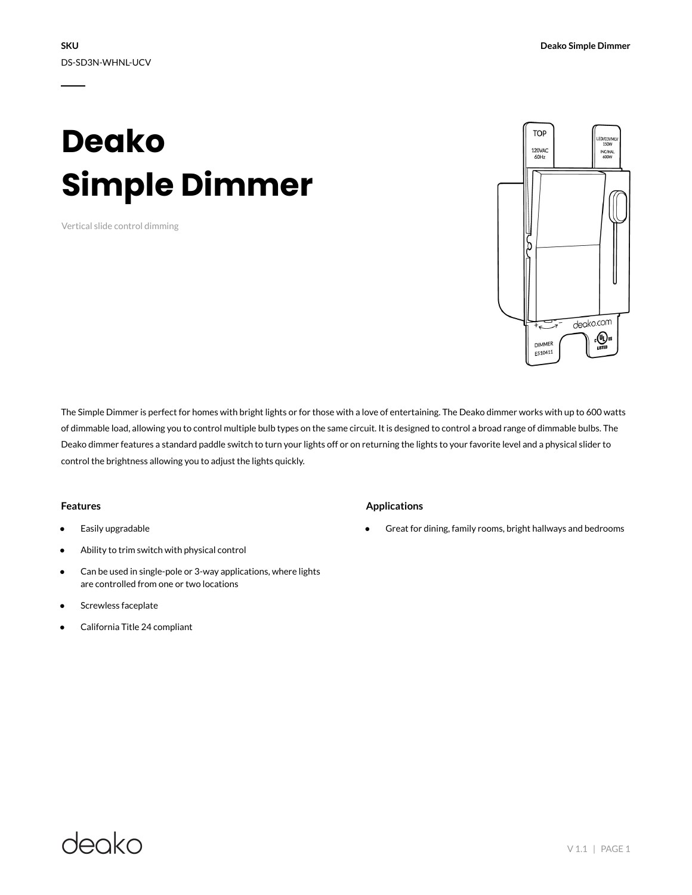# **Deako Simple Dimmer**

Vertical slide control dimming



The Simple Dimmer is perfect for homes with bright lights or for those with a love of entertaining. The Deako dimmer works with up to 600 watts of dimmable load, allowing you to control multiple bulb types on the same circuit. It is designed to control a broad range of dimmable bulbs. The Deako dimmer features a standard paddle switch to turn your lights off or on returning the lights to your favorite level and a physical slider to control the brightness allowing you to adjust the lights quickly.

#### **Features**

- Easily upgradable
- Ability to trim switch with physical control
- Can be used in single-pole or 3-way applications, where lights are controlled from one or two locations
- Screwless faceplate
- California Title 24 compliant

### **Applications**

Great for dining, family rooms, bright hallways and bedrooms